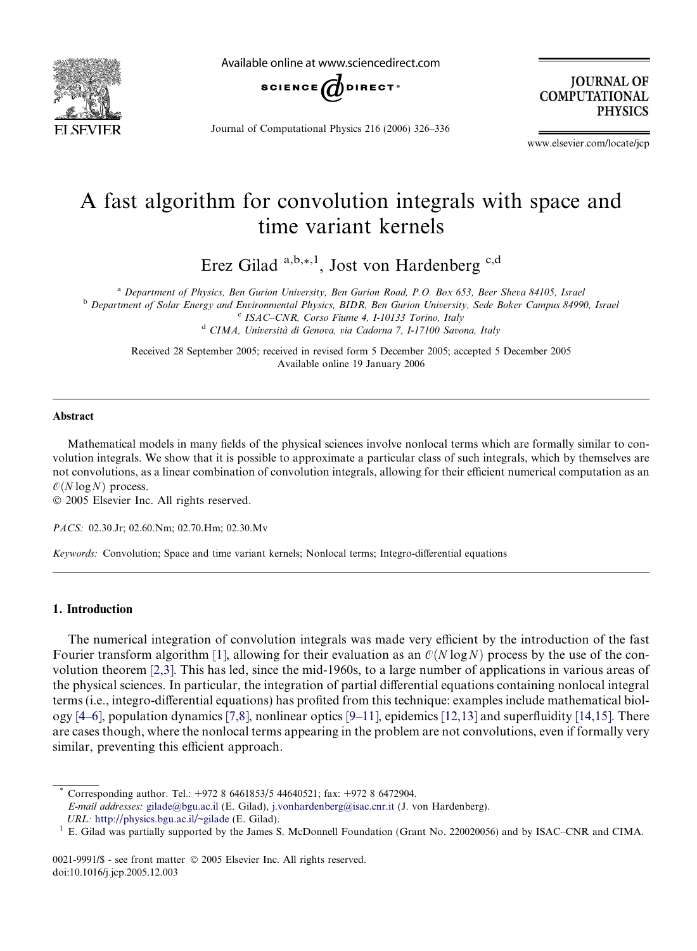

Available online at www.sciencedirect.com



Journal of Computational Physics 216 (2006) 326–336

**JOURNAL OF COMPUTATIONAL PHYSICS** 

www.elsevier.com/locate/jcp

# A fast algorithm for convolution integrals with space and time variant kernels

Erez Gilad  $a,b,*,1$ , Jost von Hardenberg  $c,d$ 

<sup>a</sup> Department of Physics, Ben Gurion University, Ben Gurion Road, P.O. Box 653, Beer Sheva 84105, Israel

<sup>b</sup> Department of Solar Energy and Environmental Physics, BIDR, Ben Gurion University, Sede Boker Campus 84990, Israel <sup>c</sup> ISAC–CNR, Corso Fiume 4, I-10133 Torino, Italy

<sup>d</sup> CIMA, Università di Genova, via Cadorna 7, I-17100 Savona, Italy

Received 28 September 2005; received in revised form 5 December 2005; accepted 5 December 2005 Available online 19 January 2006

## Abstract

Mathematical models in many fields of the physical sciences involve nonlocal terms which are formally similar to convolution integrals. We show that it is possible to approximate a particular class of such integrals, which by themselves are not convolutions, as a linear combination of convolution integrals, allowing for their efficient numerical computation as an  $\mathcal{O}(N \log N)$  process.

© 2005 Elsevier Inc. All rights reserved.

PACS: 02.30.Jr; 02.60.Nm; 02.70.Hm; 02.30.Mv

Keywords: Convolution; Space and time variant kernels; Nonlocal terms; Integro-differential equations

## 1. Introduction

The numerical integration of convolution integrals was made very efficient by the introduction of the fast Fourier transform algorithm [\[1\],](#page-9-0) allowing for their evaluation as an  $\mathcal{O}(N \log N)$  process by the use of the convolution theorem [\[2,3\]](#page-9-0). This has led, since the mid-1960s, to a large number of applications in various areas of the physical sciences. In particular, the integration of partial differential equations containing nonlocal integral terms (i.e., integro-differential equations) has profited from this technique: examples include mathematical biology  $[4–6]$ , population dynamics  $[7,8]$ , nonlinear optics  $[9–11]$ , epidemics  $[12,13]$  and superfluidity  $[14,15]$ . There are cases though, where the nonlocal terms appearing in the problem are not convolutions, even if formally very similar, preventing this efficient approach.

Corresponding author. Tel.: +972 8 6461853/5 44640521; fax: +972 8 6472904.

E-mail addresses: [gilade@bgu.ac.il](mailto:gilade@bgu.ac.il) (E. Gilad), [j.vonhardenberg@isac.cnr.it](mailto:j.vonhardenberg@isac.cnr.it) (J. von Hardenberg).

URL: <http://physics.bgu.ac.il/~gilade> (E. Gilad).<br>1 E. Gilad was partially supported by the James S. McDonnell Foundation (Grant No. 220020056) and by ISAC–CNR and CIMA.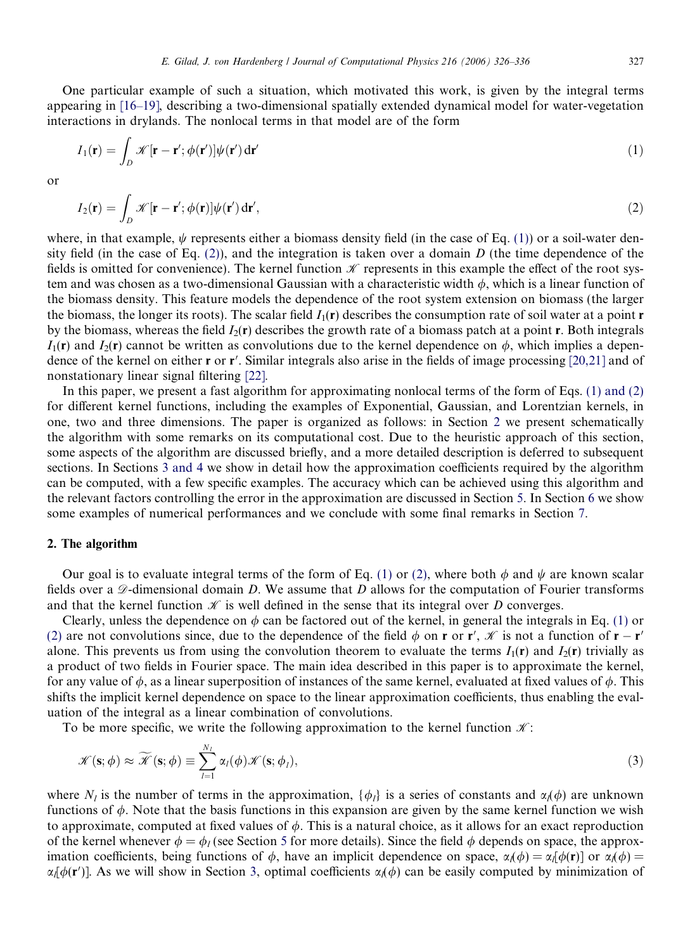<span id="page-1-0"></span>One particular example of such a situation, which motivated this work, is given by the integral terms appearing in [\[16–19\]](#page-10-0), describing a two-dimensional spatially extended dynamical model for water-vegetation interactions in drylands. The nonlocal terms in that model are of the form

$$
I_1(\mathbf{r}) = \int_D \mathcal{K}[\mathbf{r} - \mathbf{r}'; \phi(\mathbf{r}')] \psi(\mathbf{r}') d\mathbf{r}'
$$
\n(1)

or

$$
I_2(\mathbf{r}) = \int_D \mathcal{K}[\mathbf{r} - \mathbf{r}'; \phi(\mathbf{r})] \psi(\mathbf{r}') d\mathbf{r}',
$$
\n(2)

where, in that example,  $\psi$  represents either a biomass density field (in the case of Eq. (1)) or a soil-water density field (in the case of Eq. (2)), and the integration is taken over a domain D (the time dependence of the fields is omitted for convenience). The kernel function  $\mathcal K$  represents in this example the effect of the root system and was chosen as a two-dimensional Gaussian with a characteristic width  $\phi$ , which is a linear function of the biomass density. This feature models the dependence of the root system extension on biomass (the larger the biomass, the longer its roots). The scalar field  $I_1(r)$  describes the consumption rate of soil water at a point r by the biomass, whereas the field  $I_2(\mathbf{r})$  describes the growth rate of a biomass patch at a point  $\mathbf{r}$ . Both integrals  $I_1(r)$  and  $I_2(r)$  cannot be written as convolutions due to the kernel dependence on  $\phi$ , which implies a dependence of the kernel on either  $\bf{r}$  or  $\bf{r}'$ . Similar integrals also arise in the fields of image processing [\[20,21\]](#page-10-0) and of nonstationary linear signal filtering [\[22\].](#page-10-0)

In this paper, we present a fast algorithm for approximating nonlocal terms of the form of Eqs. (1) and (2) for different kernel functions, including the examples of Exponential, Gaussian, and Lorentzian kernels, in one, two and three dimensions. The paper is organized as follows: in Section 2 we present schematically the algorithm with some remarks on its computational cost. Due to the heuristic approach of this section, some aspects of the algorithm are discussed briefly, and a more detailed description is deferred to subsequent sections. In Sections [3 and 4](#page-3-0) we show in detail how the approximation coefficients required by the algorithm can be computed, with a few specific examples. The accuracy which can be achieved using this algorithm and the relevant factors controlling the error in the approximation are discussed in Section [5.](#page-6-0) In Section [6](#page-8-0) we show some examples of numerical performances and we conclude with some final remarks in Section [7.](#page-9-0)

## 2. The algorithm

Our goal is to evaluate integral terms of the form of Eq. (1) or (2), where both  $\phi$  and  $\psi$  are known scalar fields over a  $\mathscr{D}$ -dimensional domain D. We assume that D allows for the computation of Fourier transforms and that the kernel function  $\mathcal K$  is well defined in the sense that its integral over D converges.

Clearly, unless the dependence on  $\phi$  can be factored out of the kernel, in general the integrals in Eq. (1) or (2) are not convolutions since, due to the dependence of the field  $\phi$  on r or r',  $\mathcal{K}$  is not a function of r – r' alone. This prevents us from using the convolution theorem to evaluate the terms  $I_1(\mathbf{r})$  and  $I_2(\mathbf{r})$  trivially as a product of two fields in Fourier space. The main idea described in this paper is to approximate the kernel, for any value of  $\phi$ , as a linear superposition of instances of the same kernel, evaluated at fixed values of  $\phi$ . This shifts the implicit kernel dependence on space to the linear approximation coefficients, thus enabling the evaluation of the integral as a linear combination of convolutions.

To be more specific, we write the following approximation to the kernel function  $\mathcal{K}$ :

$$
\mathcal{K}(\mathbf{s};\phi) \approx \widetilde{\mathcal{K}}(\mathbf{s};\phi) \equiv \sum_{l=1}^{N_I} \alpha_l(\phi) \mathcal{K}(\mathbf{s};\phi_l),
$$
\n(3)

where  $N_l$  is the number of terms in the approximation,  $\{\phi_l\}$  is a series of constants and  $\alpha_l(\phi)$  are unknown functions of  $\phi$ . Note that the basis functions in this expansion are given by the same kernel function we wish to approximate, computed at fixed values of  $\phi$ . This is a natural choice, as it allows for an exact reproduction of the kernel whenever  $\phi = \phi_l$  (see Section [5](#page-6-0) for more details). Since the field  $\phi$  depends on space, the approximation coefficients, being functions of  $\phi$ , have an implicit dependence on space,  $\alpha_i(\phi) = \alpha_i[\phi(\mathbf{r})]$  or  $\alpha_i(\phi) =$  $\alpha_l[\phi(\mathbf{r}')]$ . As we will show in Section [3](#page-3-0), optimal coefficients  $\alpha_l(\phi)$  can be easily computed by minimization of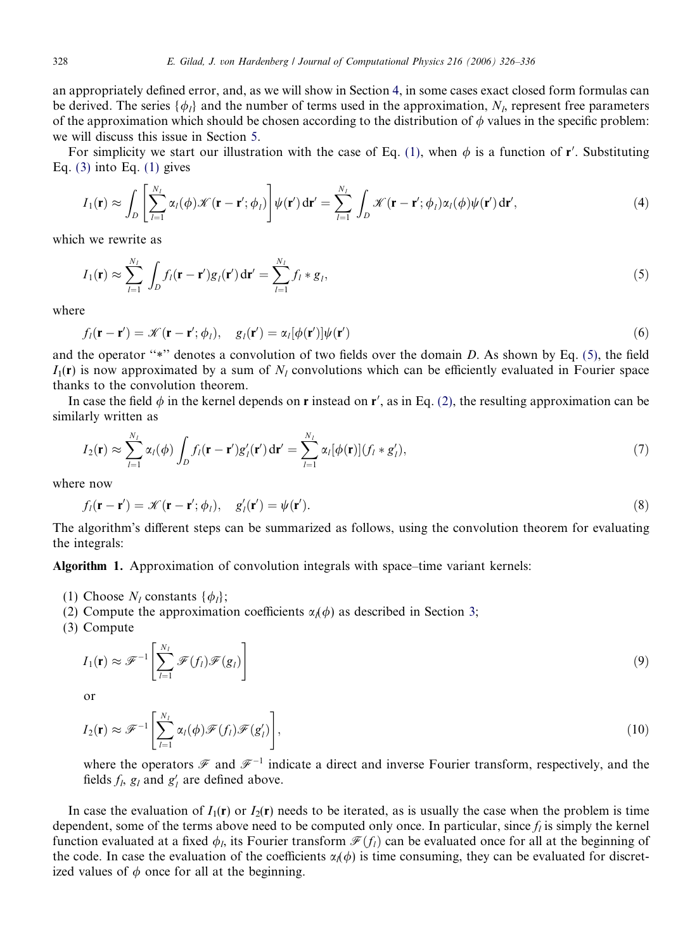an appropriately defined error, and, as we will show in Section [4,](#page-3-0) in some cases exact closed form formulas can be derived. The series { $\phi_l$ } and the number of terms used in the approximation,  $N_l$ , represent free parameters of the approximation which should be chosen according to the distribution of  $\phi$  values in the specific problem: we will discuss this issue in Section [5](#page-6-0).

For simplicity we start our illustration with the case of Eq. [\(1\)](#page-1-0), when  $\phi$  is a function of r'. Substituting Eq.  $(3)$  into Eq.  $(1)$  gives

$$
I_1(\mathbf{r}) \approx \int_D \left[ \sum_{l=1}^{N_l} \alpha_l(\phi) \mathcal{K}(\mathbf{r} - \mathbf{r}'; \phi_l) \right] \psi(\mathbf{r}') d\mathbf{r}' = \sum_{l=1}^{N_l} \int_D \mathcal{K}(\mathbf{r} - \mathbf{r}'; \phi_l) \alpha_l(\phi) \psi(\mathbf{r}') d\mathbf{r}', \tag{4}
$$

which we rewrite as

$$
I_1(\mathbf{r}) \approx \sum_{l=1}^{N_l} \int_D f_l(\mathbf{r} - \mathbf{r}') g_l(\mathbf{r}') d\mathbf{r}' = \sum_{l=1}^{N_l} f_l * g_l,
$$
\n(5)

where

$$
f_l(\mathbf{r} - \mathbf{r}') = \mathcal{K}(\mathbf{r} - \mathbf{r}'; \phi_l), \quad g_l(\mathbf{r}') = \alpha_l[\phi(\mathbf{r}')] \psi(\mathbf{r}')
$$
(6)

and the operator "\*" denotes a convolution of two fields over the domain  $D$ . As shown by Eq. (5), the field  $I_1(r)$  is now approximated by a sum of  $N_l$  convolutions which can be efficiently evaluated in Fourier space thanks to the convolution theorem.

In case the field  $\phi$  in the kernel depends on r instead on r', as in Eq. [\(2\),](#page-1-0) the resulting approximation can be similarly written as

$$
I_2(\mathbf{r}) \approx \sum_{l=1}^{N_l} \alpha_l(\phi) \int_D f_l(\mathbf{r} - \mathbf{r}') g'_l(\mathbf{r}') d\mathbf{r}' = \sum_{l=1}^{N_l} \alpha_l[\phi(\mathbf{r})](f_l * g'_l),
$$
\n(7)

where now

$$
f_l(\mathbf{r} - \mathbf{r}') = \mathcal{K}(\mathbf{r} - \mathbf{r}'; \phi_l), \quad g'_l(\mathbf{r}') = \psi(\mathbf{r}'). \tag{8}
$$

The algorithm's different steps can be summarized as follows, using the convolution theorem for evaluating the integrals:

Algorithm 1. Approximation of convolution integrals with space–time variant kernels:

- (1) Choose  $N_l$  constants  $\{\phi_l\};$
- (2) Compute the approximation coefficients  $\alpha_l(\phi)$  as described in Section [3](#page-3-0);

(3) Compute

$$
I_1(\mathbf{r}) \approx \mathcal{F}^{-1} \left[ \sum_{l=1}^{N_l} \mathcal{F}(f_l) \mathcal{F}(g_l) \right]
$$
 (9)

or

$$
I_2(\mathbf{r}) \approx \mathscr{F}^{-1}\left[\sum_{l=1}^{N_l} \alpha_l(\phi) \mathscr{F}(f_l) \mathscr{F}(g'_l)\right],\tag{10}
$$

where the operators  $\mathscr F$  and  $\mathscr F^{-1}$  indicate a direct and inverse Fourier transform, respectively, and the fields  $f_l$ ,  $g_l$  and  $g'_l$  are defined above.

In case the evaluation of  $I_1(\mathbf{r})$  or  $I_2(\mathbf{r})$  needs to be iterated, as is usually the case when the problem is time dependent, some of the terms above need to be computed only once. In particular, since  $f_i$  is simply the kernel function evaluated at a fixed  $\phi_l$ , its Fourier transform  $\mathcal{F}(f_l)$  can be evaluated once for all at the beginning of the code. In case the evaluation of the coefficients  $\alpha(\phi)$  is time consuming, they can be evaluated for discretized values of  $\phi$  once for all at the beginning.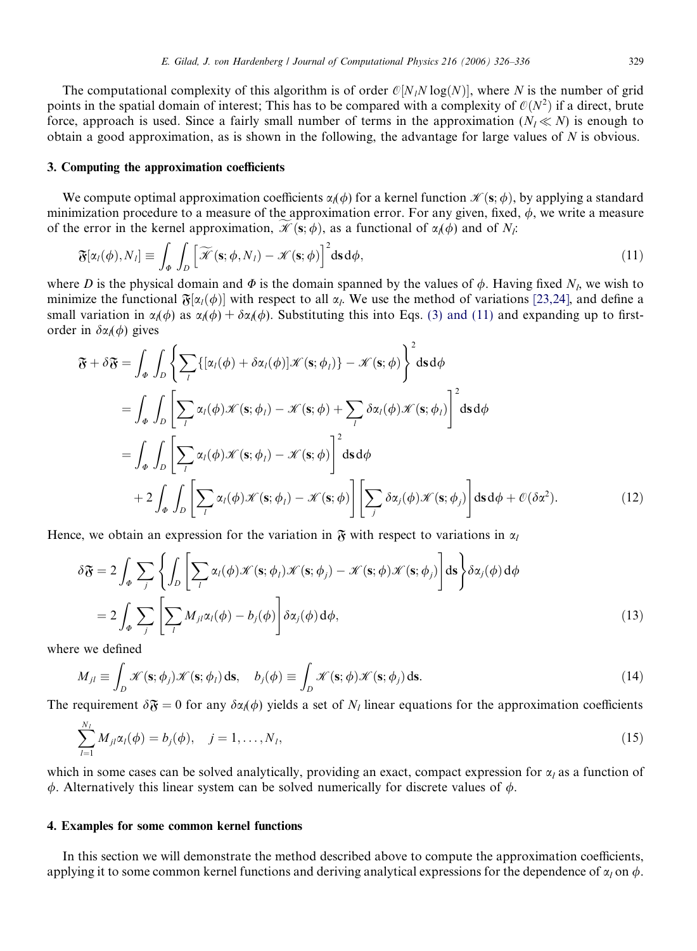<span id="page-3-0"></span>The computational complexity of this algorithm is of order  $\mathcal{O}[N,N\log(N)]$ , where N is the number of grid points in the spatial domain of interest; This has to be compared with a complexity of  $\mathcal{O}(N^2)$  if a direct, brute force, approach is used. Since a fairly small number of terms in the approximation  $(N_1 \ll N)$  is enough to obtain a good approximation, as is shown in the following, the advantage for large values of N is obvious.

### 3. Computing the approximation coefficients

We compute optimal approximation coefficients  $\alpha(\phi)$  for a kernel function  $\mathcal{K}(s; \phi)$ , by applying a standard minimization procedure to a measure of the approximation error. For any given, fixed,  $\phi$ , we write a measure of the error in the kernel approximation,  $\mathscr{K}(\mathbf{s}; \phi)$ , as a functional of  $\alpha_i(\phi)$  and of N<sub>i</sub>:

$$
\mathfrak{F}[\alpha_l(\phi), N_l] \equiv \int_{\phi} \int_{D} \left[ \widetilde{\mathcal{K}}(\mathbf{s}; \phi, N_l) - \mathcal{K}(\mathbf{s}; \phi) \right]^2 d\mathbf{s} d\phi, \tag{11}
$$

where D is the physical domain and  $\Phi$  is the domain spanned by the values of  $\phi$ . Having fixed N<sub>l</sub>, we wish to minimize the functional  $\mathfrak{F}[\alpha_l(\phi)]$  with respect to all  $\alpha_l$ . We use the method of variations [\[23,24\],](#page-10-0) and define a small variation in  $\alpha_i(\phi)$  as  $\alpha_i(\phi) + \delta \alpha_i(\phi)$ . Substituting this into Eqs. [\(3\) and \(11\)](#page-1-0) and expanding up to firstorder in  $\delta \alpha_i(\phi)$  gives

$$
\mathfrak{F} + \delta \mathfrak{F} = \int_{\Phi} \int_{D} \left\{ \sum_{l} \{ [\alpha_{l}(\phi) + \delta \alpha_{l}(\phi)] \mathcal{K}(\mathbf{s}; \phi_{l}) \} - \mathcal{K}(\mathbf{s}; \phi) \right\}^{2} d\mathbf{s} d\phi
$$
  
\n
$$
= \int_{\Phi} \int_{D} \left[ \sum_{l} \alpha_{l}(\phi) \mathcal{K}(\mathbf{s}; \phi_{l}) - \mathcal{K}(\mathbf{s}; \phi) + \sum_{l} \delta \alpha_{l}(\phi) \mathcal{K}(\mathbf{s}; \phi_{l}) \right]^{2} d\mathbf{s} d\phi
$$
  
\n
$$
= \int_{\Phi} \int_{D} \left[ \sum_{l} \alpha_{l}(\phi) \mathcal{K}(\mathbf{s}; \phi_{l}) - \mathcal{K}(\mathbf{s}; \phi) \right]^{2} d\mathbf{s} d\phi
$$
  
\n
$$
+ 2 \int_{\Phi} \int_{D} \left[ \sum_{l} \alpha_{l}(\phi) \mathcal{K}(\mathbf{s}; \phi_{l}) - \mathcal{K}(\mathbf{s}; \phi) \right] \left[ \sum_{j} \delta \alpha_{j}(\phi) \mathcal{K}(\mathbf{s}; \phi_{j}) \right] d\mathbf{s} d\phi + \mathcal{O}(\delta \alpha^{2}). \tag{12}
$$

Hence, we obtain an expression for the variation in  $\mathfrak{F}$  with respect to variations in  $\alpha_l$ 

$$
\delta \mathfrak{F} = 2 \int_{\phi} \sum_{j} \left\{ \int_{D} \left[ \sum_{l} \alpha_{l}(\phi) \mathcal{K}(\mathbf{s}; \phi_{l}) \mathcal{K}(\mathbf{s}; \phi_{j}) - \mathcal{K}(\mathbf{s}; \phi) \mathcal{K}(\mathbf{s}; \phi_{j}) \right] \mathrm{d}\mathbf{s} \right\} \delta \alpha_{j}(\phi) \, \mathrm{d}\phi
$$
\n
$$
= 2 \int_{\phi} \sum_{j} \left[ \sum_{l} M_{jl} \alpha_{l}(\phi) - b_{j}(\phi) \right] \delta \alpha_{j}(\phi) \, \mathrm{d}\phi, \tag{13}
$$

where we defined

$$
M_{jl} \equiv \int_D \mathcal{K}(\mathbf{s}; \phi_j) \mathcal{K}(\mathbf{s}; \phi_l) \, \mathrm{d}\mathbf{s}, \quad b_j(\phi) \equiv \int_D \mathcal{K}(\mathbf{s}; \phi) \mathcal{K}(\mathbf{s}; \phi_j) \, \mathrm{d}\mathbf{s}.\tag{14}
$$

The requirement  $\delta \mathfrak{F} = 0$  for any  $\delta \alpha(\phi)$  yields a set of  $N_l$  linear equations for the approximation coefficients

$$
\sum_{l=1}^{N_I} M_{jl} \alpha_l(\phi) = b_j(\phi), \quad j = 1, \dots, N_I,
$$
\n(15)

which in some cases can be solved analytically, providing an exact, compact expression for  $\alpha_l$  as a function of  $\phi$ . Alternatively this linear system can be solved numerically for discrete values of  $\phi$ .

## 4. Examples for some common kernel functions

In this section we will demonstrate the method described above to compute the approximation coefficients, applying it to some common kernel functions and deriving analytical expressions for the dependence of  $\alpha_l$  on  $\phi$ .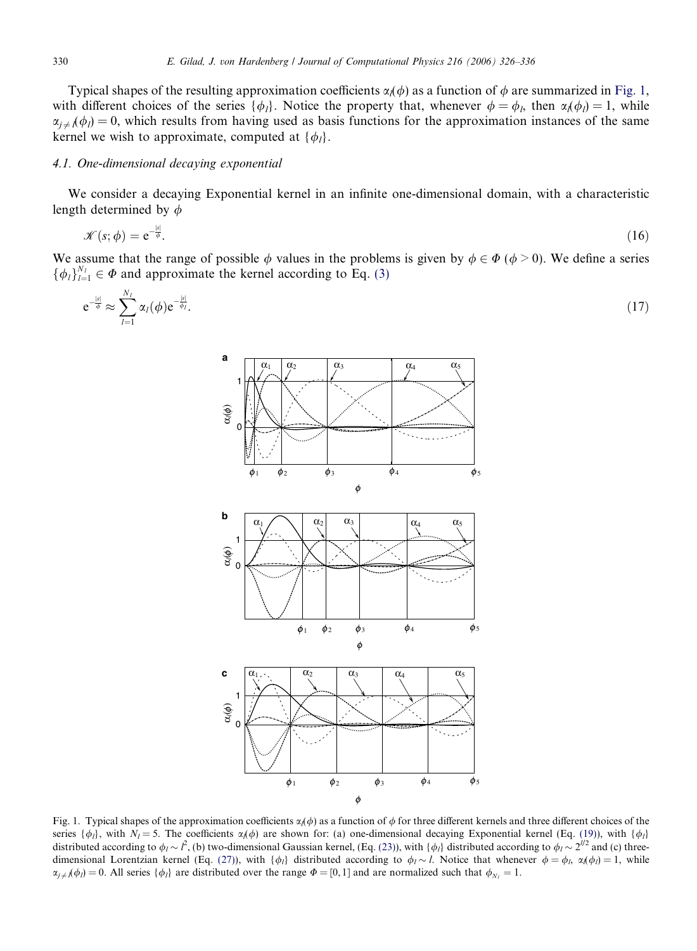<span id="page-4-0"></span>Typical shapes of the resulting approximation coefficients  $\alpha(\phi)$  as a function of  $\phi$  are summarized in Fig. 1, with different choices of the series  $\{\phi_l\}$ . Notice the property that, whenever  $\phi = \phi_l$ , then  $\alpha_l(\phi_l) = 1$ , while  $\alpha_{i\neq j}(\phi_{l}) = 0$ , which results from having used as basis functions for the approximation instances of the same kernel we wish to approximate, computed at  $\{\phi_l\}$ .

## 4.1. One-dimensional decaying exponential

We consider a decaying Exponential kernel in an infinite one-dimensional domain, with a characteristic length determined by  $\phi$ 

$$
\mathcal{K}(s; \phi) = e^{-\frac{|s|}{\phi}}.\tag{16}
$$

We assume that the range of possible  $\phi$  values in the problems is given by  $\phi \in \Phi$  ( $\phi > 0$ ). We define a series  $\{\phi_l\}_{l=1}^{N_l} \in \Phi$  and approximate the kernel according to Eq. [\(3\)](#page-1-0)

$$
e^{-\frac{|s|}{\phi}} \approx \sum_{l=1}^{N_l} \alpha_l(\phi) e^{-\frac{|s|}{\phi_l}}.
$$
\n(17)



Fig. 1. Typical shapes of the approximation coefficients  $\alpha_i(\phi)$  as a function of  $\phi$  for three different kernels and three different choices of the series  $\{\phi_l\}$ , with  $N_l = 5$ . The coefficients  $\alpha_l(\phi)$  are shown for: (a) one-dimensional decaying Exponential kernel (Eq. [\(19\)](#page-5-0)), with  $\{\phi_l\}$ distributed according to  $\phi_l \sim l^2$ , (b) two-dimensional Gaussian kernel, (Eq. [\(23\)](#page-5-0)), with  $\{\phi_l\}$  distributed according to  $\phi_l \sim 2^{l/2}$  and (c) three-dimensional Lorentzian kernel (Eq. [\(27\)\)](#page-6-0), with  $\{\phi_i\}$  distributed according to  $\phi_i \sim l$ . Notice that whenever  $\phi = \phi_i$ ,  $\alpha_i(\phi_i) = 1$ , while  $\alpha_{j \neq j}(\phi_j) = 0$ . All series  $\{\phi_i\}$  are distributed over the range  $\Phi = [0, 1]$  and are normalized such that  $\phi_{N_i} = 1$ .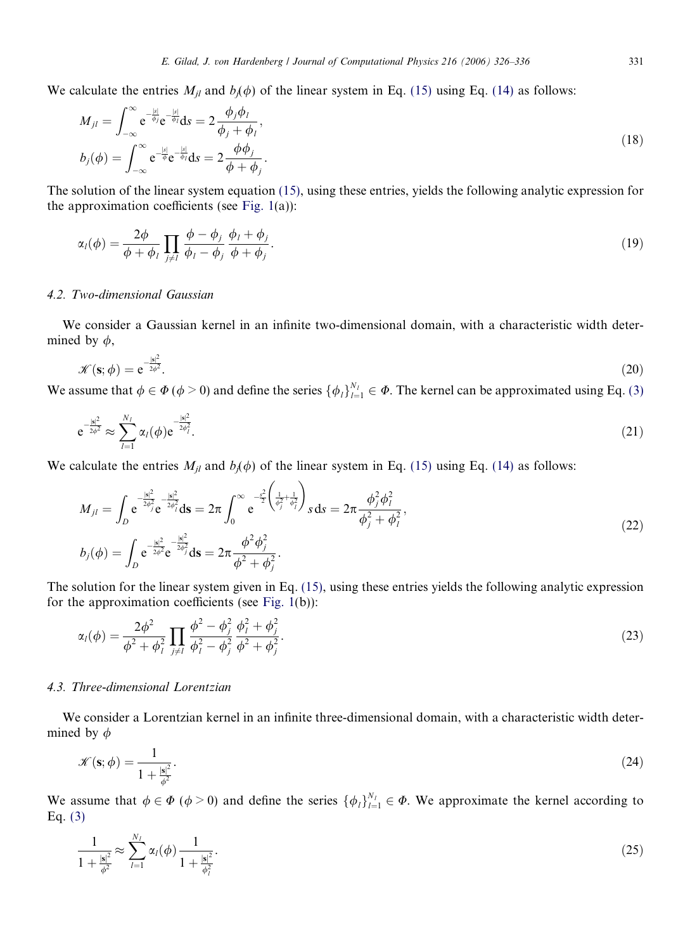<span id="page-5-0"></span>We calculate the entries  $M_{jl}$  and  $b_j(\phi)$  of the linear system in Eq. [\(15\)](#page-3-0) using Eq. [\(14\)](#page-3-0) as follows:

$$
M_{jl} = \int_{-\infty}^{\infty} e^{-\frac{|s|}{\phi_j}} e^{-\frac{|s|}{\phi_l}} ds = 2 \frac{\phi_j \phi_l}{\phi_j + \phi_l},
$$
  
\n
$$
b_j(\phi) = \int_{-\infty}^{\infty} e^{-\frac{|s|}{\phi}} e^{-\frac{|s|}{\phi_l}} ds = 2 \frac{\phi \phi_j}{\phi + \phi_j}.
$$
\n(18)

The solution of the linear system equation [\(15\),](#page-3-0) using these entries, yields the following analytic expression for the approximation coefficients (see Fig.  $1(a)$ ):

$$
\alpha_l(\phi) = \frac{2\phi}{\phi + \phi_l} \prod_{j \neq l} \frac{\phi - \phi_j}{\phi_l - \phi_j} \frac{\phi_l + \phi_j}{\phi + \phi_j}.
$$
\n(19)

## 4.2. Two-dimensional Gaussian

We consider a Gaussian kernel in an infinite two-dimensional domain, with a characteristic width determined by  $\phi$ ,

$$
\mathcal{K}(\mathbf{s};\phi) = \mathrm{e}^{-\frac{|\mathbf{s}|^2}{2\phi^2}}.\tag{20}
$$

We assume that  $\phi \in \Phi (\phi > 0)$  and define the series  $\{\phi_l\}_{l=1}^{N_l} \in \Phi$ . The kernel can be approximated using Eq. [\(3\)](#page-1-0)

$$
e^{-\frac{|s|^2}{2\phi^2}} \approx \sum_{l=1}^{N_l} \alpha_l(\phi) e^{-\frac{|s|^2}{2\phi_l^2}}.
$$
\n(21)

We calculate the entries  $M_{jl}$  and  $b_j(\phi)$  of the linear system in Eq. [\(15\)](#page-3-0) using Eq. [\(14\)](#page-3-0) as follows:

$$
M_{jl} = \int_{D} e^{-\frac{|\mathbf{s}|^{2}}{2\phi_{j}^{2}}} e^{-\frac{|\mathbf{s}|^{2}}{2\phi_{l}^{2}}} d\mathbf{s} = 2\pi \int_{0}^{\infty} e^{-\frac{s^{2}}{2} \left(\frac{1}{\phi_{j}^{2}} + \frac{1}{\phi_{l}^{2}}\right)} s ds = 2\pi \frac{\phi_{j}^{2} \phi_{l}^{2}}{\phi_{j}^{2} + \phi_{l}^{2}},
$$
  
\n
$$
b_{j}(\phi) = \int_{D} e^{-\frac{|\mathbf{s}|^{2}}{2\phi^{2}}} e^{-\frac{|\mathbf{s}|^{2}}{2\phi_{j}^{2}}} ds = 2\pi \frac{\phi^{2} \phi_{j}^{2}}{\phi^{2} + \phi_{j}^{2}}.
$$
\n(22)

The solution for the linear system given in Eq. [\(15\)](#page-3-0), using these entries yields the following analytic expression for the approximation coefficients (see [Fig. 1\(](#page-4-0)b)):

$$
\alpha_l(\phi) = \frac{2\phi^2}{\phi^2 + \phi_l^2} \prod_{j \neq l} \frac{\phi^2 - \phi_j^2}{\phi_l^2 - \phi_j^2} \frac{\phi_l^2 + \phi_j^2}{\phi^2 + \phi_j^2}.
$$
\n(23)

# 4.3. Three-dimensional Lorentzian

We consider a Lorentzian kernel in an infinite three-dimensional domain, with a characteristic width determined by  $\phi$ 

$$
\mathcal{K}(\mathbf{s};\phi) = \frac{1}{1 + \frac{|\mathbf{s}|^2}{\phi^2}}.\tag{24}
$$

We assume that  $\phi \in \Phi$  ( $\phi > 0$ ) and define the series  $\{\phi_i\}_{i=1}^{N_l} \in \Phi$ . We approximate the kernel according to Eq. [\(3\)](#page-1-0)

$$
\frac{1}{1 + \frac{|s|^2}{\phi^2}} \approx \sum_{l=1}^{N_l} \alpha_l(\phi) \frac{1}{1 + \frac{|s|^2}{\phi_l^2}}.
$$
\n(25)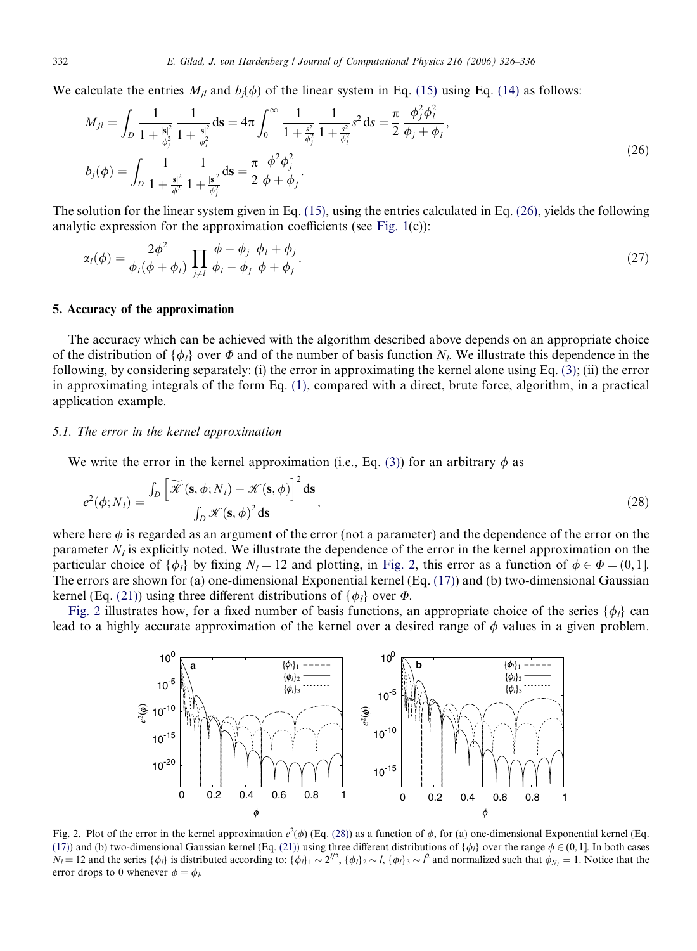<span id="page-6-0"></span>We calculate the entries  $M_{il}$  and  $b_i(\phi)$  of the linear system in Eq. [\(15\)](#page-3-0) using Eq. [\(14\)](#page-3-0) as follows:

$$
M_{jl} = \int_{D} \frac{1}{1 + \frac{|\mathbf{s}|^2}{\phi_j^2}} \frac{1}{1 + \frac{|\mathbf{s}|^2}{\phi_l^2}} d\mathbf{s} = 4\pi \int_{0}^{\infty} \frac{1}{1 + \frac{s^2}{\phi_j^2}} \frac{1}{1 + \frac{s^2}{\phi_l^2}} s^2 ds = \frac{\pi}{2} \frac{\phi_j^2 \phi_l^2}{\phi_j + \phi_l},
$$
  
\n
$$
b_j(\phi) = \int_{D} \frac{1}{1 + \frac{|\mathbf{s}|^2}{\phi_j^2}} \frac{1}{1 + \frac{|\mathbf{s}|^2}{\phi_j^2}} ds = \frac{\pi}{2} \frac{\phi^2 \phi_j^2}{\phi + \phi_j}.
$$
\n(26)

The solution for the linear system given in Eq. [\(15\),](#page-3-0) using the entries calculated in Eq. (26), yields the following analytic expression for the approximation coefficients (see [Fig. 1\(](#page-4-0)c)):

$$
\alpha_l(\phi) = \frac{2\phi^2}{\phi_l(\phi + \phi_l)} \prod_{j \neq l} \frac{\phi - \phi_j}{\phi_l - \phi_j} \frac{\phi_l + \phi_j}{\phi + \phi_j}.
$$
\n(27)

## 5. Accuracy of the approximation

The accuracy which can be achieved with the algorithm described above depends on an appropriate choice of the distribution of  $\{\phi_l\}$  over  $\Phi$  and of the number of basis function  $N_l$ . We illustrate this dependence in the following, by considering separately: (i) the error in approximating the kernel alone using Eq. [\(3\);](#page-1-0) (ii) the error in approximating integrals of the form Eq. [\(1\),](#page-1-0) compared with a direct, brute force, algorithm, in a practical application example.

## 5.1. The error in the kernel approximation

We write the error in the kernel approximation (i.e., Eq. [\(3\)\)](#page-1-0) for an arbitrary  $\phi$  as

$$
e^{2}(\phi;N_{l}) = \frac{\int_{D} \left[ \widetilde{\mathcal{K}}\left(\mathbf{s}, \phi; N_{l}\right) - \mathcal{K}(\mathbf{s}, \phi) \right]^{2} \mathrm{d}\mathbf{s}}{\int_{D} \mathcal{K}(\mathbf{s}, \phi)^{2} \mathrm{d}\mathbf{s}},
$$
\n(28)

where here  $\phi$  is regarded as an argument of the error (not a parameter) and the dependence of the error on the parameter  $N_l$  is explicitly noted. We illustrate the dependence of the error in the kernel approximation on the particular choice of  $\{\phi_l\}$  by fixing  $N_l = 12$  and plotting, in Fig. 2, this error as a function of  $\phi \in \Phi = (0, 1]$ . The errors are shown for (a) one-dimensional Exponential kernel (Eq. [\(17\)\)](#page-4-0) and (b) two-dimensional Gaussian kernel (Eq. [\(21\)\)](#page-5-0) using three different distributions of  $\{\phi_l\}$  over  $\Phi$ .

Fig. 2 illustrates how, for a fixed number of basis functions, an appropriate choice of the series  $\{\phi_l\}$  can lead to a highly accurate approximation of the kernel over a desired range of  $\phi$  values in a given problem.



Fig. 2. Plot of the error in the kernel approximation  $e^2(\phi)$  (Eq. (28)) as a function of  $\phi$ , for (a) one-dimensional Exponential kernel (Eq. [\(17\)](#page-4-0)) and (b) two-dimensional Gaussian kernel (Eq. [\(21\)\)](#page-5-0) using three different distributions of  $\{\phi_l\}$  over the range  $\phi \in (0, 1]$ . In both cases  $N_l = 12$  and the series  $\{\phi_l\}$  is distributed according to:  $\{\phi_l\}_1 \sim 2^{l/2}$ ,  $\{\phi_l\}_2 \sim l$ ,  $\{\phi_l\}_3 \sim l^2$  and normalized such that  $\phi_{N_l} = 1$ . Notice that the error drops to 0 whenever  $\phi = \phi_l$ .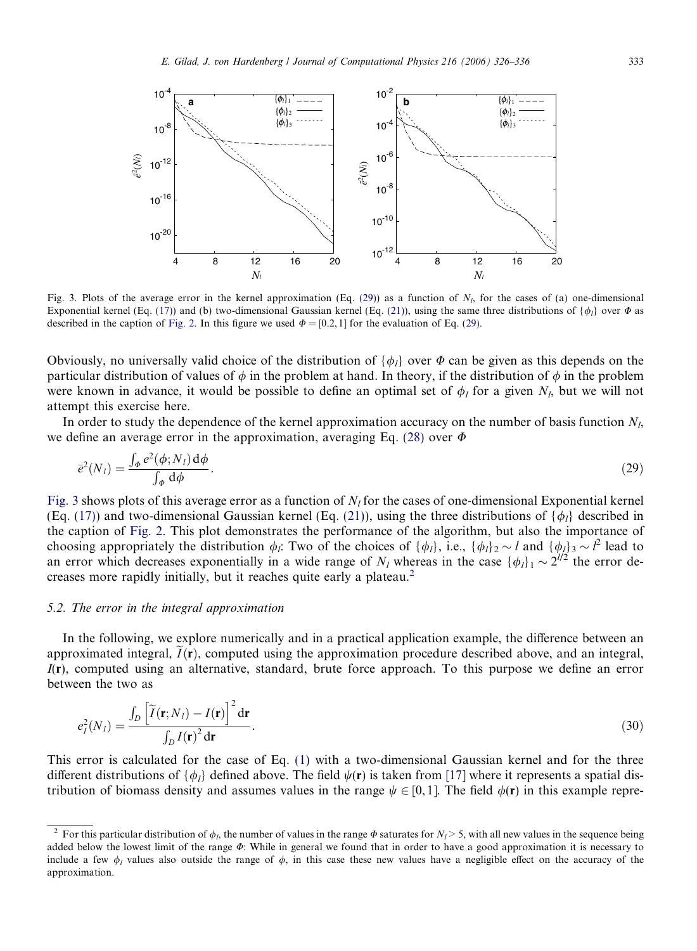<span id="page-7-0"></span>

Fig. 3. Plots of the average error in the kernel approximation (Eq. (29)) as a function of  $N<sub>l</sub>$ , for the cases of (a) one-dimensional Exponential kernel (Eq. [\(17\)](#page-4-0)) and (b) two-dimensional Gaussian kernel (Eq. [\(21\)](#page-5-0)), using the same three distributions of  $\{\phi_i\}$  over  $\Phi$  as described in the caption of [Fig. 2.](#page-6-0) In this figure we used  $\Phi = [0.2, 1]$  for the evaluation of Eq. (29).

Obviously, no universally valid choice of the distribution of  $\{\phi_i\}$  over  $\Phi$  can be given as this depends on the particular distribution of values of  $\phi$  in the problem at hand. In theory, if the distribution of  $\phi$  in the problem were known in advance, it would be possible to define an optimal set of  $\phi_l$  for a given  $N_l$ , but we will not attempt this exercise here.

In order to study the dependence of the kernel approximation accuracy on the number of basis function  $N_l$ , we define an average error in the approximation, averaging Eq. [\(28\)](#page-6-0) over  $\Phi$ 

$$
\bar{e}^{2}(N_{l}) = \frac{\int_{\phi} e^{2}(\phi; N_{l}) d\phi}{\int_{\phi} d\phi}.
$$
\n(29)

Fig. 3 shows plots of this average error as a function of  $N_l$  for the cases of one-dimensional Exponential kernel (Eq. [\(17\)\)](#page-4-0) and two-dimensional Gaussian kernel (Eq. [\(21\)](#page-5-0)), using the three distributions of  $\{\phi_l\}$  described in the caption of [Fig. 2.](#page-6-0) This plot demonstrates the performance of the algorithm, but also the importance of choosing appropriately the distribution  $\phi_i$ : Two of the choices of  $\{\phi_i\}$ , i.e.,  $\{\phi_i\}_2 \sim l$  and  $\{\phi_i\}_3 \sim l^2$  lead to an error which decreases exponentially in a wide range of  $N_l$  whereas in the case  $\{\phi_l\}_1 \sim 2^{l/2}$  the error decreases more rapidly initially, but it reaches quite early a plateau.<sup>2</sup>

### 5.2. The error in the integral approximation

In the following, we explore numerically and in a practical application example, the difference between an approximated integral,  $I(\mathbf{r})$ , computed using the approximation procedure described above, and an integral,  $I(r)$ , computed using an alternative, standard, brute force approach. To this purpose we define an error between the two as

$$
e_I^2(N_I) = \frac{\int_D \left[ \tilde{I}(\mathbf{r}; N_I) - I(\mathbf{r}) \right]^2 d\mathbf{r}}{\int_D I(\mathbf{r})^2 d\mathbf{r}}.
$$
\n(30)

This error is calculated for the case of Eq. [\(1\)](#page-1-0) with a two-dimensional Gaussian kernel and for the three different distributions of  $\{\phi_i\}$  defined above. The field  $\psi(\mathbf{r})$  is taken from [\[17\]](#page-10-0) where it represents a spatial distribution of biomass density and assumes values in the range  $\psi \in [0, 1]$ . The field  $\phi(\mathbf{r})$  in this example repre-

<sup>&</sup>lt;sup>2</sup> For this particular distribution of  $\phi_b$ , the number of values in the range  $\Phi$  saturates for  $N_l > 5$ , with all new values in the sequence being added below the lowest limit of the range  $\Phi$ : While in general we found that in order to have a good approximation it is necessary to include a few  $\phi_l$  values also outside the range of  $\phi$ , in this case these new values have a negligible effect on the accuracy of the approximation.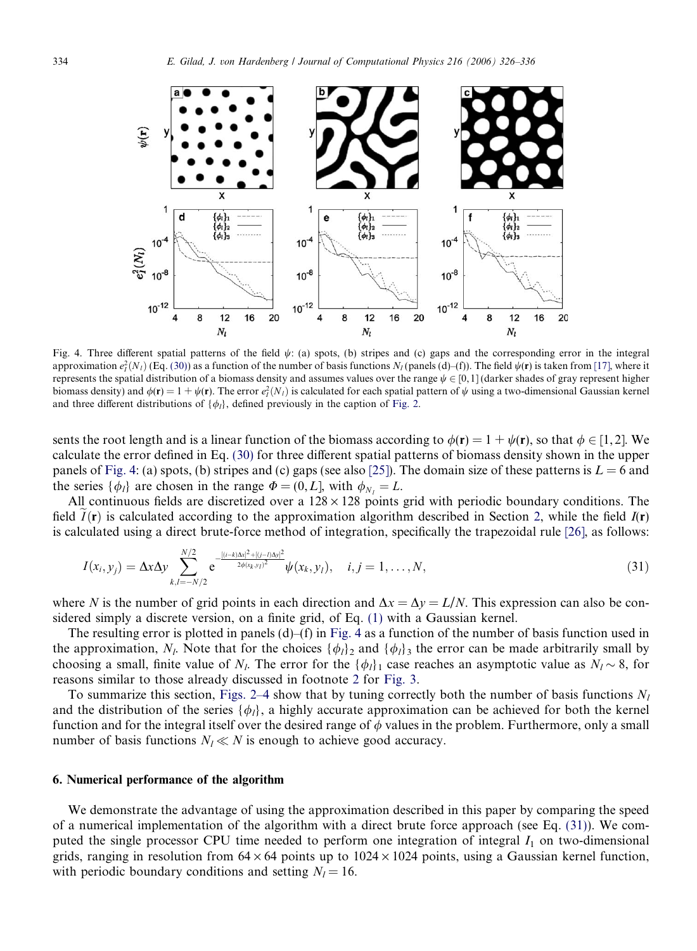<span id="page-8-0"></span>

Fig. 4. Three different spatial patterns of the field  $\psi$ : (a) spots, (b) stripes and (c) gaps and the corresponding error in the integral approximation  $e_l^2(N_l)$  (Eq. [\(30\)](#page-7-0)) as a function of the number of basis functions  $N_l$  (panels (d)–(f)). The field  $\psi(\mathbf{r})$  is taken from [\[17\],](#page-10-0) where it represents the spatial distribution of a biomass density and assumes values over the range  $\psi \in [0, 1]$  (darker shades of gray represent higher biomass density) and  $\phi(\mathbf{r}) = 1 + \psi(\mathbf{r})$ . The error  $e_1^2(N_l)$  is calculated for each spatial pattern of  $\psi$  using a two-dimensional Gaussian kernel and three different distributions of  $\{\phi_l\}$ , defined previously in the caption of [Fig. 2.](#page-6-0)

sents the root length and is a linear function of the biomass according to  $\phi(\mathbf{r})=1+\psi(\mathbf{r})$ , so that  $\phi \in [1,2]$ . We calculate the error defined in Eq. [\(30\)](#page-7-0) for three different spatial patterns of biomass density shown in the upper panels of Fig. 4: (a) spots, (b) stripes and (c) gaps (see also [\[25\]\)](#page-10-0). The domain size of these patterns is  $L = 6$  and the series  $\{\phi_l\}$  are chosen in the range  $\Phi = (0, L]$ , with  $\phi_{N_l} = L$ .

All continuous fields are discretized over a  $128 \times 128$  points grid with periodic boundary conditions. The field  $I(\mathbf{r})$  is calculated according to the approximation algorithm described in Section [2](#page-1-0), while the field  $I(\mathbf{r})$ is calculated using a direct brute-force method of integration, specifically the trapezoidal rule [\[26\],](#page-10-0) as follows:

$$
I(x_i, y_j) = \Delta x \Delta y \sum_{k,l=-N/2}^{N/2} e^{-\frac{[(i-k)\Delta x]^2 + [(j-l)\Delta y]^2}{2\phi(x_k, y_l)^2}} \psi(x_k, y_l), \quad i, j = 1, \dots, N,
$$
\n(31)

where N is the number of grid points in each direction and  $\Delta x = \Delta y = L/N$ . This expression can also be considered simply a discrete version, on a finite grid, of Eq. [\(1\)](#page-1-0) with a Gaussian kernel.

The resulting error is plotted in panels  $(d)$ – $(f)$  in Fig. 4 as a function of the number of basis function used in the approximation,  $N_l$ . Note that for the choices  $\{\phi_l\}_2$  and  $\{\phi_l\}_3$  the error can be made arbitrarily small by choosing a small, finite value of N<sub>l</sub>. The error for the  $\{\phi_l\}_1$  case reaches an asymptotic value as  $N_l \sim 8$ , for reasons similar to those already discussed in footnote [2](#page-7-0) for [Fig. 3](#page-7-0).

To summarize this section, [Figs. 2–4](#page-6-0) show that by tuning correctly both the number of basis functions  $N_l$ and the distribution of the series  $\{\phi_l\}$ , a highly accurate approximation can be achieved for both the kernel function and for the integral itself over the desired range of  $\phi$  values in the problem. Furthermore, only a small number of basis functions  $N_l \ll N$  is enough to achieve good accuracy.

## 6. Numerical performance of the algorithm

We demonstrate the advantage of using the approximation described in this paper by comparing the speed of a numerical implementation of the algorithm with a direct brute force approach (see Eq. (31)). We computed the single processor CPU time needed to perform one integration of integral  $I_1$  on two-dimensional grids, ranging in resolution from  $64 \times 64$  points up to  $1024 \times 1024$  points, using a Gaussian kernel function, with periodic boundary conditions and setting  $N_l = 16$ .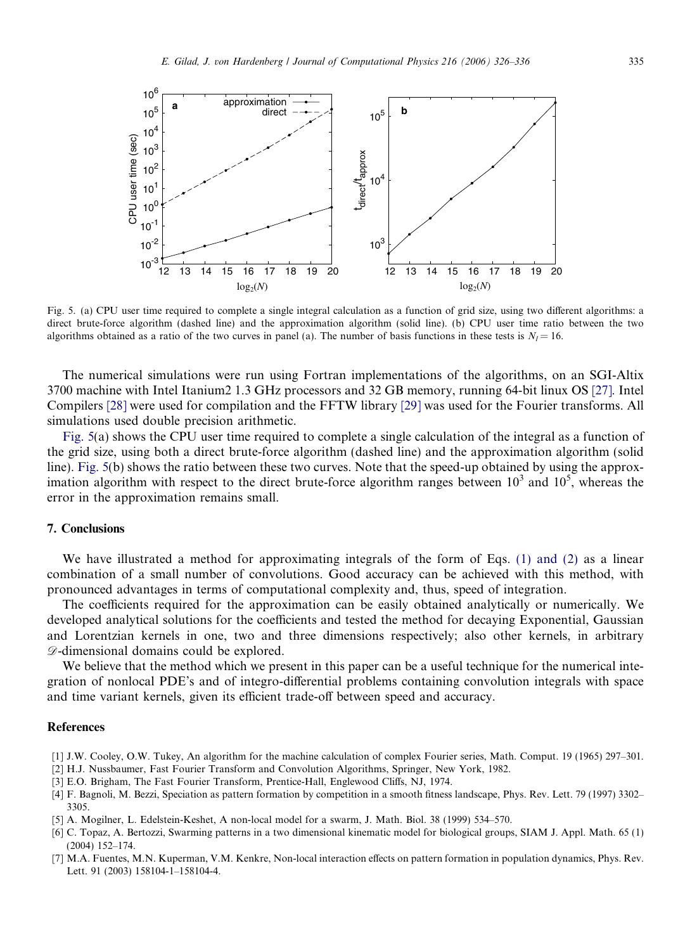<span id="page-9-0"></span>

Fig. 5. (a) CPU user time required to complete a single integral calculation as a function of grid size, using two different algorithms: a direct brute-force algorithm (dashed line) and the approximation algorithm (solid line). (b) CPU user time ratio between the two algorithms obtained as a ratio of the two curves in panel (a). The number of basis functions in these tests is  $N_l = 16$ .

The numerical simulations were run using Fortran implementations of the algorithms, on an SGI-Altix 3700 machine with Intel Itanium2 1.3 GHz processors and 32 GB memory, running 64-bit linux OS [\[27\].](#page-10-0) Intel Compilers [\[28\]](#page-10-0) were used for compilation and the FFTW library [\[29\]](#page-10-0) was used for the Fourier transforms. All simulations used double precision arithmetic.

Fig. 5(a) shows the CPU user time required to complete a single calculation of the integral as a function of the grid size, using both a direct brute-force algorithm (dashed line) and the approximation algorithm (solid line). Fig. 5(b) shows the ratio between these two curves. Note that the speed-up obtained by using the approximation algorithm with respect to the direct brute-force algorithm ranges between  $10^3$  and  $10^5$ , whereas the error in the approximation remains small.

## 7. Conclusions

We have illustrated a method for approximating integrals of the form of Eqs. [\(1\) and \(2\)](#page-1-0) as a linear combination of a small number of convolutions. Good accuracy can be achieved with this method, with pronounced advantages in terms of computational complexity and, thus, speed of integration.

The coefficients required for the approximation can be easily obtained analytically or numerically. We developed analytical solutions for the coefficients and tested the method for decaying Exponential, Gaussian and Lorentzian kernels in one, two and three dimensions respectively; also other kernels, in arbitrary  $\mathscr{D}$ -dimensional domains could be explored.

We believe that the method which we present in this paper can be a useful technique for the numerical integration of nonlocal PDE's and of integro-differential problems containing convolution integrals with space and time variant kernels, given its efficient trade-off between speed and accuracy.

## References

- [1] J.W. Cooley, O.W. Tukey, An algorithm for the machine calculation of complex Fourier series, Math. Comput. 19 (1965) 297–301.
- [2] H.J. Nussbaumer, Fast Fourier Transform and Convolution Algorithms, Springer, New York, 1982.
- [3] E.O. Brigham, The Fast Fourier Transform, Prentice-Hall, Englewood Cliffs, NJ, 1974.
- [4] F. Bagnoli, M. Bezzi, Speciation as pattern formation by competition in a smooth fitness landscape, Phys. Rev. Lett. 79 (1997) 3302– 3305.
- [5] A. Mogilner, L. Edelstein-Keshet, A non-local model for a swarm, J. Math. Biol. 38 (1999) 534–570.
- [6] C. Topaz, A. Bertozzi, Swarming patterns in a two dimensional kinematic model for biological groups, SIAM J. Appl. Math. 65 (1) (2004) 152–174.
- [7] M.A. Fuentes, M.N. Kuperman, V.M. Kenkre, Non-local interaction effects on pattern formation in population dynamics, Phys. Rev. Lett. 91 (2003) 158104-1–158104-4.